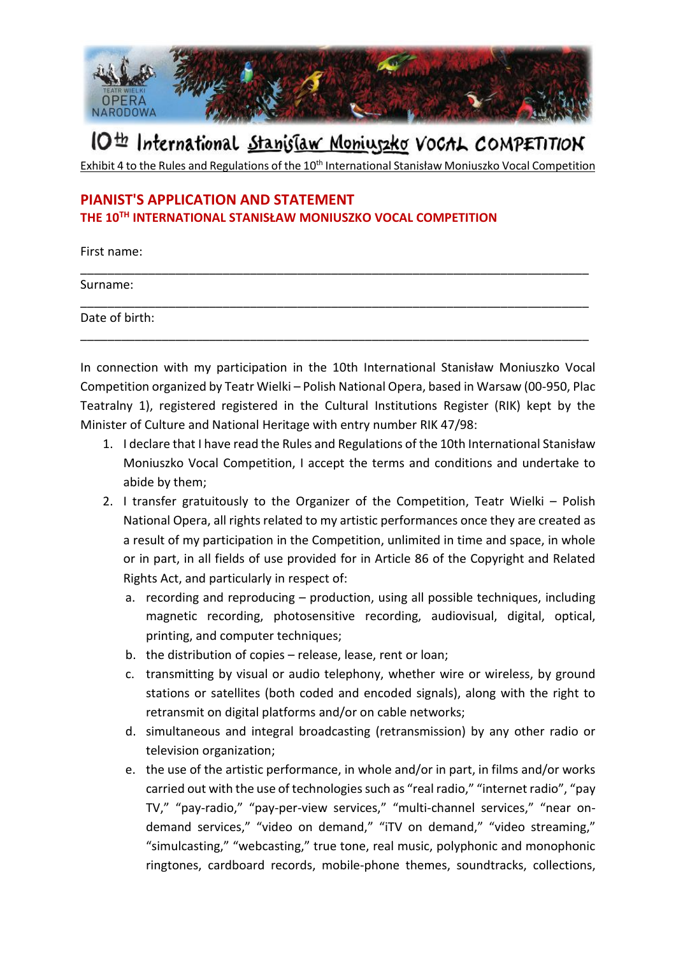

## IO<sup>th</sup> International Stanislaw Moniuszko VoCAL COMPETITION

Exhibit 4 to the Rules and Regulations of the 10<sup>th</sup> International Stanisław Moniuszko Vocal Competition

\_\_\_\_\_\_\_\_\_\_\_\_\_\_\_\_\_\_\_\_\_\_\_\_\_\_\_\_\_\_\_\_\_\_\_\_\_\_\_\_\_\_\_\_\_\_\_\_\_\_\_\_\_\_\_\_\_\_\_\_\_\_\_\_\_\_\_\_\_\_\_\_\_\_\_

\_\_\_\_\_\_\_\_\_\_\_\_\_\_\_\_\_\_\_\_\_\_\_\_\_\_\_\_\_\_\_\_\_\_\_\_\_\_\_\_\_\_\_\_\_\_\_\_\_\_\_\_\_\_\_\_\_\_\_\_\_\_\_\_\_\_\_\_\_\_\_\_\_\_\_

\_\_\_\_\_\_\_\_\_\_\_\_\_\_\_\_\_\_\_\_\_\_\_\_\_\_\_\_\_\_\_\_\_\_\_\_\_\_\_\_\_\_\_\_\_\_\_\_\_\_\_\_\_\_\_\_\_\_\_\_\_\_\_\_\_\_\_\_\_\_\_\_\_\_\_

## **PIANIST'S APPLICATION AND STATEMENT THE 10TH INTERNATIONAL STANISŁAW MONIUSZKO VOCAL COMPETITION**

First name:

Surname:

Date of birth:

In connection with my participation in the 10th International Stanisław Moniuszko Vocal Competition organized by Teatr Wielki – Polish National Opera, based in Warsaw (00-950, Plac Teatralny 1), registered registered in the Cultural Institutions Register (RIK) kept by the Minister of Culture and National Heritage with entry number RIK 47/98:

- 1. I declare that I have read the Rules and Regulations of the 10th International Stanisław Moniuszko Vocal Competition, I accept the terms and conditions and undertake to abide by them;
- 2. I transfer gratuitously to the Organizer of the Competition, Teatr Wielki Polish National Opera, all rights related to my artistic performances once they are created as a result of my participation in the Competition, unlimited in time and space, in whole or in part, in all fields of use provided for in Article 86 of the Copyright and Related Rights Act, and particularly in respect of:
	- a. recording and reproducing production, using all possible techniques, including magnetic recording, photosensitive recording, audiovisual, digital, optical, printing, and computer techniques;
	- b. the distribution of copies release, lease, rent or loan;
	- c. transmitting by visual or audio telephony, whether wire or wireless, by ground stations or satellites (both coded and encoded signals), along with the right to retransmit on digital platforms and/or on cable networks;
	- d. simultaneous and integral broadcasting (retransmission) by any other radio or television organization;
	- e. the use of the artistic performance, in whole and/or in part, in films and/or works carried out with the use of technologies such as "real radio," "internet radio", "pay TV," "pay-radio," "pay-per-view services," "multi-channel services," "near ondemand services," "video on demand," "iTV on demand," "video streaming," "simulcasting," "webcasting," true tone, real music, polyphonic and monophonic ringtones, cardboard records, mobile-phone themes, soundtracks, collections,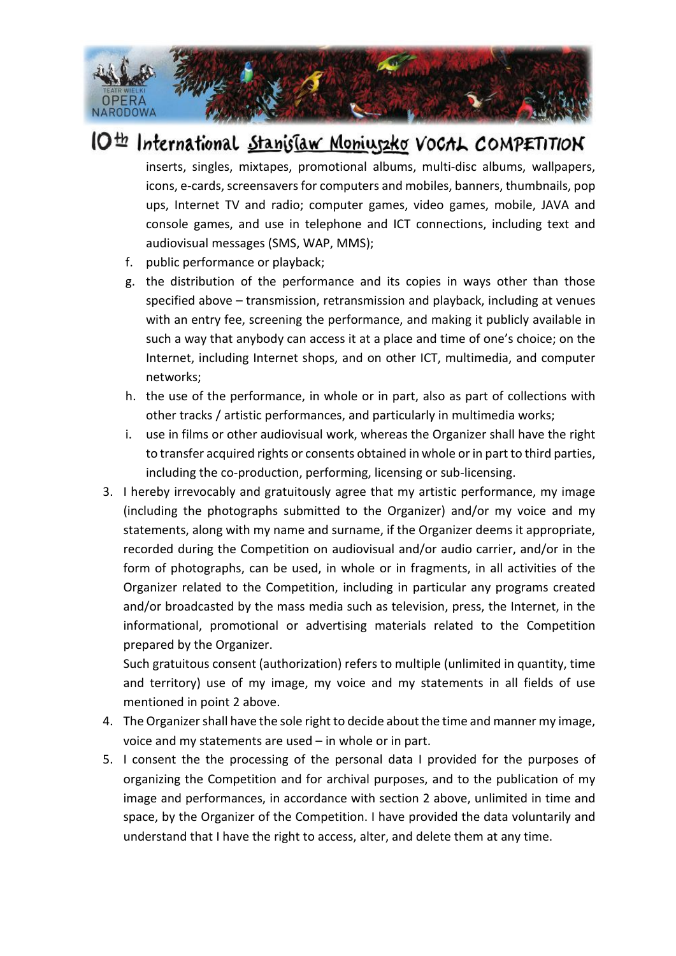

## IO<sup>th</sup> International Stanislaw Moniuszko VoCAL COMPETITION

inserts, singles, mixtapes, promotional albums, multi-disc albums, wallpapers, icons, e-cards, screensavers for computers and mobiles, banners, thumbnails, pop ups, Internet TV and radio; computer games, video games, mobile, JAVA and console games, and use in telephone and ICT connections, including text and audiovisual messages (SMS, WAP, MMS);

- f. public performance or playback;
- g. the distribution of the performance and its copies in ways other than those specified above – transmission, retransmission and playback, including at venues with an entry fee, screening the performance, and making it publicly available in such a way that anybody can access it at a place and time of one's choice; on the Internet, including Internet shops, and on other ICT, multimedia, and computer networks;
- h. the use of the performance, in whole or in part, also as part of collections with other tracks / artistic performances, and particularly in multimedia works;
- i. use in films or other audiovisual work, whereas the Organizer shall have the right to transfer acquired rights or consents obtained in whole or in part to third parties, including the co-production, performing, licensing or sub-licensing.
- 3. I hereby irrevocably and gratuitously agree that my artistic performance, my image (including the photographs submitted to the Organizer) and/or my voice and my statements, along with my name and surname, if the Organizer deems it appropriate, recorded during the Competition on audiovisual and/or audio carrier, and/or in the form of photographs, can be used, in whole or in fragments, in all activities of the Organizer related to the Competition, including in particular any programs created and/or broadcasted by the mass media such as television, press, the Internet, in the informational, promotional or advertising materials related to the Competition prepared by the Organizer.

Such gratuitous consent (authorization) refers to multiple (unlimited in quantity, time and territory) use of my image, my voice and my statements in all fields of use mentioned in point 2 above.

- 4. The Organizer shall have the sole right to decide about the time and manner my image, voice and my statements are used – in whole or in part.
- 5. I consent the the processing of the personal data I provided for the purposes of organizing the Competition and for archival purposes, and to the publication of my image and performances, in accordance with section 2 above, unlimited in time and space, by the Organizer of the Competition. I have provided the data voluntarily and understand that I have the right to access, alter, and delete them at any time.